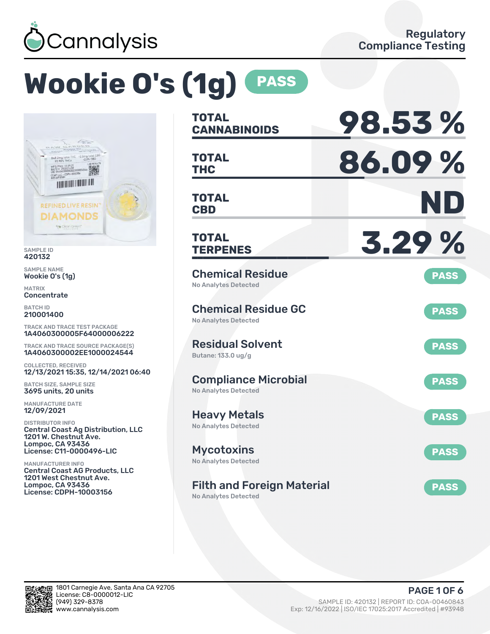

# **Wookie O's (1g) PASS**



SAMPLE ID 420132

SAMPLE NAME Wookie O's (1g)

MATRIX Concentrate

BATCH ID 210001400

TRACK AND TRACE TEST PACKAGE 1A4060300005F64000006222

TRACK AND TRACE SOURCE PACKAGE(S) 1A4060300002EE1000024544

COLLECTED, RECEIVED 12/13/2021 15:35, 12/14/2021 06:40

BATCH SIZE, SAMPLE SIZE 3695 units, 20 units

MANUFACTURE DATE 12/09/2021

DISTRIBUTOR INFO Central Coast Ag Distribution, LLC 1201 W. Chestnut Ave. Lompoc, CA 93436 License: C11-0000496-LIC

MANUFACTURER INFO Central Coast AG Products, LLC 1201 West Chestnut Ave. Lompoc, CA 93436 License: CDPH-10003156

| <b>TOTAL</b><br><b>CANNABINOIDS</b>                        | 98.53%      |
|------------------------------------------------------------|-------------|
| <b>TOTAL</b><br><b>THC</b>                                 | 86.09%      |
| <b>TOTAL</b><br><b>CBD</b>                                 | ND          |
| TOTAL<br><b>TERPENES</b>                                   | 3.29%       |
| <b>Chemical Residue</b><br><b>No Analytes Detected</b>     | <b>PASS</b> |
| <b>Chemical Residue GC</b><br><b>No Analytes Detected</b>  | <b>PASS</b> |
| <b>Residual Solvent</b><br>Butane: 133.0 ug/g              | <b>PASS</b> |
| <b>Compliance Microbial</b><br><b>No Analytes Detected</b> | <b>PASS</b> |
| <b>Heavy Metals</b><br><b>No Analytes Detected</b>         | <b>PASS</b> |
| <b>Mycotoxins</b><br>No Analytes Detected                  | <b>PASS</b> |
| <b>Filth and Foreign Material</b>                          | <b>PASS</b> |

No Analytes Detected

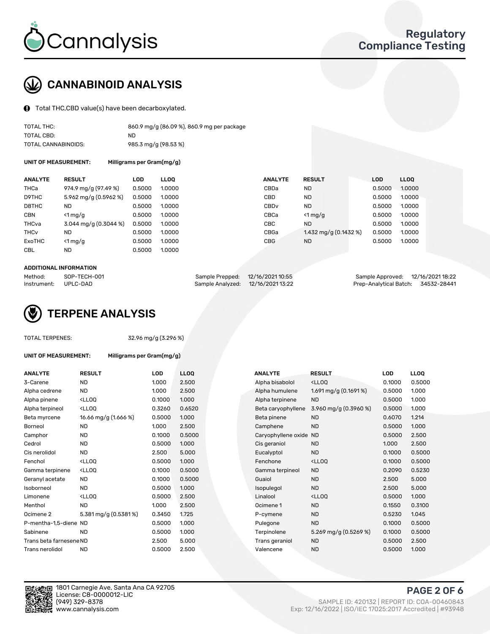

### CANNABINOID ANALYSIS

Total THC,CBD value(s) have been decarboxylated.

| TOTAL THC:          | 860.9 mg/g (86.09 %), 860.9 mg per package |
|---------------------|--------------------------------------------|
| TOTAL CBD:          | ND.                                        |
| TOTAL CANNABINOIDS: | 985.3 mg/g (98.53 %)                       |

UNIT OF MEASUREMENT: Milligrams per Gram(mg/g)

| <b>ANALYTE</b>         | <b>RESULT</b>           | <b>LOD</b> | <b>LLOO</b> | <b>ANALYTE</b>   | <b>RESULT</b>           | <b>LOD</b> | <b>LLOO</b> |
|------------------------|-------------------------|------------|-------------|------------------|-------------------------|------------|-------------|
| <b>THCa</b>            | 974.9 mg/g (97.49 %)    | 0.5000     | 1.0000      | CBDa             | <b>ND</b>               | 0.5000     | 1.0000      |
| D9THC                  | 5.962 mg/g (0.5962 %)   | 0.5000     | 1.0000      | CBD              | <b>ND</b>               | 0.5000     | 1.0000      |
| D8THC                  | <b>ND</b>               | 0.5000     | 1.0000      | CBD <sub>v</sub> | ND.                     | 0.5000     | 1.0000      |
| <b>CBN</b>             | $\leq 1$ mg/g           | 0.5000     | 1.0000      | CBCa             | $<$ 1 mg/g              | 0.5000     | 1.0000      |
| THCva                  | $3.044$ mg/g (0.3044 %) | 0.5000     | 1.0000      | <b>CBC</b>       | <b>ND</b>               | 0.5000     | 1.0000      |
| <b>THC<sub>v</sub></b> | <b>ND</b>               | 0.5000     | 1.0000      | CBGa             | 1.432 mg/g $(0.1432\%)$ | 0.5000     | 1.0000      |
| ExoTHC                 | $\leq 1$ mg/g           | 0.5000     | 1.0000      | <b>CBG</b>       | <b>ND</b>               | 0.5000     | 1.0000      |
| <b>CBL</b>             | <b>ND</b>               | 0.5000     | 1.0000      |                  |                         |            |             |

#### ADDITIONAL INFORMATION

| Method:              | SOP-TECH-001 | Sample Prepped: 12/16/2021 10:55  | Sample Approved: 12/16/2021 18:22  |  |
|----------------------|--------------|-----------------------------------|------------------------------------|--|
| Instrument: UPLC-DAD |              | Sample Analyzed: 12/16/2021 13:22 | Prep-Analytical Batch: 34532-28441 |  |



### TOTAL TERPENES: 32.96 mg/g (3.296 %)

| UNIT OF MEASUREMENT: | Milligrams per Gram(mg/g) |
|----------------------|---------------------------|
|----------------------|---------------------------|

| <b>ANALYTE</b>          | <b>RESULT</b>                                                                                                                             | <b>LOD</b> | <b>LLOQ</b> | <b>ANALYTE</b>         | <b>RESULT</b>                                       | <b>LOD</b> | <b>LLOQ</b> |
|-------------------------|-------------------------------------------------------------------------------------------------------------------------------------------|------------|-------------|------------------------|-----------------------------------------------------|------------|-------------|
| 3-Carene                | <b>ND</b>                                                                                                                                 | 1.000      | 2.500       | Alpha bisabolol        | <ll0q< td=""><td>0.1000</td><td>0.5000</td></ll0q<> | 0.1000     | 0.5000      |
| Alpha cedrene           | ND.                                                                                                                                       | 1.000      | 2.500       | Alpha humulene         | 1.691 mg/g $(0.1691\%)$                             | 0.5000     | 1.000       |
| Alpha pinene            | <lloq< td=""><td>0.1000</td><td>1.000</td><td>Alpha terpinene</td><td><b>ND</b></td><td>0.5000</td><td>1.000</td></lloq<>                 | 0.1000     | 1.000       | Alpha terpinene        | <b>ND</b>                                           | 0.5000     | 1.000       |
| Alpha terpineol         | <ll0q< td=""><td>0.3260</td><td>0.6520</td><td>Beta caryophyllene</td><td>3.960 mg/g (0.3960 %)</td><td>0.5000</td><td>1.000</td></ll0q<> | 0.3260     | 0.6520      | Beta caryophyllene     | 3.960 mg/g (0.3960 %)                               | 0.5000     | 1.000       |
| Beta myrcene            | 16.66 mg/g (1.666 %)                                                                                                                      | 0.5000     | 1.000       | Beta pinene            | <b>ND</b>                                           | 0.6070     | 1.214       |
| Borneol                 | <b>ND</b>                                                                                                                                 | 1.000      | 2.500       | Camphene               | <b>ND</b>                                           | 0.5000     | 1.000       |
| Camphor                 | <b>ND</b>                                                                                                                                 | 0.1000     | 0.5000      | Caryophyllene oxide ND |                                                     | 0.5000     | 2.500       |
| Cedrol                  | <b>ND</b>                                                                                                                                 | 0.5000     | 1.000       | Cis geraniol           | <b>ND</b>                                           | 1.000      | 2.500       |
| Cis nerolidol           | <b>ND</b>                                                                                                                                 | 2.500      | 5.000       | Eucalyptol             | <b>ND</b>                                           | 0.1000     | 0.5000      |
| Fenchol                 | <ll0q< td=""><td>0.5000</td><td>1.000</td><td>Fenchone</td><td><ll0q< td=""><td>0.1000</td><td>0.5000</td></ll0q<></td></ll0q<>           | 0.5000     | 1.000       | Fenchone               | <ll0q< td=""><td>0.1000</td><td>0.5000</td></ll0q<> | 0.1000     | 0.5000      |
| Gamma terpinene         | <ll0q< td=""><td>0.1000</td><td>0.5000</td><td>Gamma terpineol</td><td><b>ND</b></td><td>0.2090</td><td>0.5230</td></ll0q<>               | 0.1000     | 0.5000      | Gamma terpineol        | <b>ND</b>                                           | 0.2090     | 0.5230      |
| Geranyl acetate         | <b>ND</b>                                                                                                                                 | 0.1000     | 0.5000      | Guaiol                 | <b>ND</b>                                           | 2.500      | 5.000       |
| Isoborneol              | <b>ND</b>                                                                                                                                 | 0.5000     | 1.000       | Isopulegol             | <b>ND</b>                                           | 2.500      | 5.000       |
| Limonene                | <lloq< td=""><td>0.5000</td><td>2.500</td><td>Linalool</td><td><lloq< td=""><td>0.5000</td><td>1.000</td></lloq<></td></lloq<>            | 0.5000     | 2.500       | Linalool               | <lloq< td=""><td>0.5000</td><td>1.000</td></lloq<>  | 0.5000     | 1.000       |
| Menthol                 | <b>ND</b>                                                                                                                                 | 1.000      | 2.500       | Ocimene 1              | <b>ND</b>                                           | 0.1550     | 0.3100      |
| Ocimene <sub>2</sub>    | 5.381 mg/g (0.5381%)                                                                                                                      | 0.3450     | 1.725       | P-cymene               | <b>ND</b>                                           | 0.5230     | 1.045       |
| P-mentha-1,5-diene ND   |                                                                                                                                           | 0.5000     | 1.000       | Pulegone               | <b>ND</b>                                           | 0.1000     | 0.5000      |
| Sabinene                | <b>ND</b>                                                                                                                                 | 0.5000     | 1.000       | Terpinolene            | 5.269 mg/g (0.5269 %)                               | 0.1000     | 0.5000      |
| Trans beta farnesene ND |                                                                                                                                           | 2.500      | 5.000       | Trans geraniol         | <b>ND</b>                                           | 0.5000     | 2.500       |
| Trans nerolidol         | <b>ND</b>                                                                                                                                 | 0.5000     | 2.500       | Valencene              | <b>ND</b>                                           | 0.5000     | 1.000       |

| ANALYTE             | <b>RESULT</b>                                       | LOD    | <b>LLOO</b> |
|---------------------|-----------------------------------------------------|--------|-------------|
| Alpha bisabolol     | <lloq< td=""><td>0.1000</td><td>0.5000</td></lloq<> | 0.1000 | 0.5000      |
| Alpha humulene      | 1.691 mg/g $(0.1691\%)$                             | 0.5000 | 1.000       |
| Alpha terpinene     | <b>ND</b>                                           | 0.5000 | 1.000       |
| Beta caryophyllene  | 3.960 mg/g $(0.3960\%)$                             | 0.5000 | 1.000       |
| Beta pinene         | <b>ND</b>                                           | 0.6070 | 1.214       |
| Camphene            | <b>ND</b>                                           | 0.5000 | 1.000       |
| Caryophyllene oxide | <b>ND</b>                                           | 0.5000 | 2.500       |
| Cis geraniol        | <b>ND</b>                                           | 1.000  | 2.500       |
| Eucalyptol          | <b>ND</b>                                           | 0.1000 | 0.5000      |
| Fenchone            | <lloq< td=""><td>0.1000</td><td>0.5000</td></lloq<> | 0.1000 | 0.5000      |
| Gamma terpineol     | <b>ND</b>                                           | 0.2090 | 0.5230      |
| Guaiol              | <b>ND</b>                                           | 2.500  | 5.000       |
| Isopulegol          | <b>ND</b>                                           | 2.500  | 5.000       |
| Linalool            | <lloq< td=""><td>0.5000</td><td>1.000</td></lloq<>  | 0.5000 | 1.000       |
| Ocimene 1           | <b>ND</b>                                           | 0.1550 | 0.3100      |
| P-cymene            | ND.                                                 | 0.5230 | 1.045       |
| Pulegone            | <b>ND</b>                                           | 0.1000 | 0.5000      |
| Terpinolene         | 5.269 mg/g $(0.5269\%)$                             | 0.1000 | 0.5000      |
| Trans geraniol      | <b>ND</b>                                           | 0.5000 | 2.500       |
| Valencene           | <b>ND</b>                                           | 0.5000 | 1.000       |

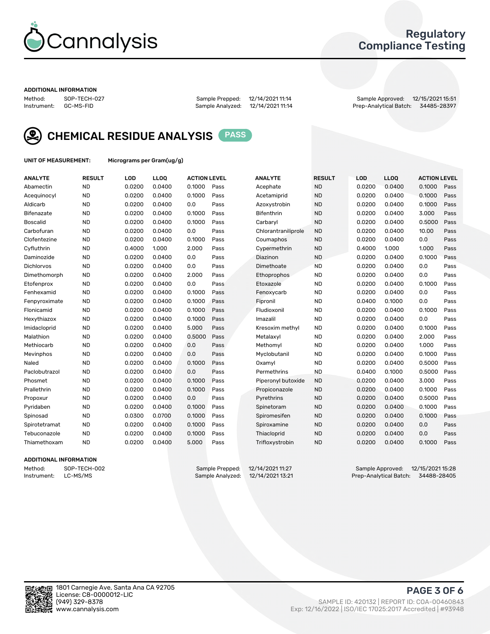

### Regulatory Compliance Testing

#### ADDITIONAL INFORMATION

Method: SOP-TECH-027 Sample Prepped: 12/14/2021 11:14 Sample Approved: 12/15/2021 15:51 Prep-Analytical Batch: 34485-28397



CHEMICAL RESIDUE ANALYSIS PASS

UNIT OF MEASUREMENT: Micrograms per Gram(ug/g)

| <b>ANALYTE</b>    | <b>RESULT</b> | LOD    | LL <sub>OO</sub> | <b>ACTION LEVEL</b> |      | <b>ANALYTE</b>      | <b>RESULT</b> | <b>LOD</b> | <b>LLOQ</b> | <b>ACTION LEVEL</b> |      |
|-------------------|---------------|--------|------------------|---------------------|------|---------------------|---------------|------------|-------------|---------------------|------|
| Abamectin         | <b>ND</b>     | 0.0200 | 0.0400           | 0.1000              | Pass | Acephate            | <b>ND</b>     | 0.0200     | 0.0400      | 0.1000              | Pass |
| Acequinocyl       | <b>ND</b>     | 0.0200 | 0.0400           | 0.1000              | Pass | Acetamiprid         | <b>ND</b>     | 0.0200     | 0.0400      | 0.1000              | Pass |
| Aldicarb          | <b>ND</b>     | 0.0200 | 0.0400           | 0.0                 | Pass | Azoxystrobin        | <b>ND</b>     | 0.0200     | 0.0400      | 0.1000              | Pass |
| Bifenazate        | <b>ND</b>     | 0.0200 | 0.0400           | 0.1000              | Pass | <b>Bifenthrin</b>   | <b>ND</b>     | 0.0200     | 0.0400      | 3.000               | Pass |
| <b>Boscalid</b>   | <b>ND</b>     | 0.0200 | 0.0400           | 0.1000              | Pass | Carbaryl            | <b>ND</b>     | 0.0200     | 0.0400      | 0.5000              | Pass |
| Carbofuran        | <b>ND</b>     | 0.0200 | 0.0400           | 0.0                 | Pass | Chlorantraniliprole | <b>ND</b>     | 0.0200     | 0.0400      | 10.00               | Pass |
| Clofentezine      | <b>ND</b>     | 0.0200 | 0.0400           | 0.1000              | Pass | Coumaphos           | <b>ND</b>     | 0.0200     | 0.0400      | 0.0                 | Pass |
| Cyfluthrin        | <b>ND</b>     | 0.4000 | 1.000            | 2.000               | Pass | Cypermethrin        | <b>ND</b>     | 0.4000     | 1.000       | 1.000               | Pass |
| Daminozide        | <b>ND</b>     | 0.0200 | 0.0400           | 0.0                 | Pass | Diazinon            | <b>ND</b>     | 0.0200     | 0.0400      | 0.1000              | Pass |
| <b>Dichlorvos</b> | <b>ND</b>     | 0.0200 | 0.0400           | 0.0                 | Pass | Dimethoate          | <b>ND</b>     | 0.0200     | 0.0400      | 0.0                 | Pass |
| Dimethomorph      | <b>ND</b>     | 0.0200 | 0.0400           | 2.000               | Pass | <b>Ethoprophos</b>  | <b>ND</b>     | 0.0200     | 0.0400      | 0.0                 | Pass |
| Etofenprox        | <b>ND</b>     | 0.0200 | 0.0400           | 0.0                 | Pass | Etoxazole           | <b>ND</b>     | 0.0200     | 0.0400      | 0.1000              | Pass |
| Fenhexamid        | <b>ND</b>     | 0.0200 | 0.0400           | 0.1000              | Pass | Fenoxycarb          | <b>ND</b>     | 0.0200     | 0.0400      | 0.0                 | Pass |
| Fenpyroximate     | <b>ND</b>     | 0.0200 | 0.0400           | 0.1000              | Pass | Fipronil            | <b>ND</b>     | 0.0400     | 0.1000      | 0.0                 | Pass |
| Flonicamid        | <b>ND</b>     | 0.0200 | 0.0400           | 0.1000              | Pass | Fludioxonil         | <b>ND</b>     | 0.0200     | 0.0400      | 0.1000              | Pass |
| Hexythiazox       | <b>ND</b>     | 0.0200 | 0.0400           | 0.1000              | Pass | Imazalil            | <b>ND</b>     | 0.0200     | 0.0400      | 0.0                 | Pass |
| Imidacloprid      | <b>ND</b>     | 0.0200 | 0.0400           | 5.000               | Pass | Kresoxim methyl     | <b>ND</b>     | 0.0200     | 0.0400      | 0.1000              | Pass |
| Malathion         | <b>ND</b>     | 0.0200 | 0.0400           | 0.5000              | Pass | Metalaxyl           | <b>ND</b>     | 0.0200     | 0.0400      | 2.000               | Pass |
| Methiocarb        | <b>ND</b>     | 0.0200 | 0.0400           | 0.0                 | Pass | Methomyl            | <b>ND</b>     | 0.0200     | 0.0400      | 1.000               | Pass |
| Mevinphos         | <b>ND</b>     | 0.0200 | 0.0400           | 0.0                 | Pass | Myclobutanil        | <b>ND</b>     | 0.0200     | 0.0400      | 0.1000              | Pass |
| Naled             | <b>ND</b>     | 0.0200 | 0.0400           | 0.1000              | Pass | Oxamyl              | <b>ND</b>     | 0.0200     | 0.0400      | 0.5000              | Pass |
| Paclobutrazol     | <b>ND</b>     | 0.0200 | 0.0400           | 0.0                 | Pass | Permethrins         | <b>ND</b>     | 0.0400     | 0.1000      | 0.5000              | Pass |
| Phosmet           | <b>ND</b>     | 0.0200 | 0.0400           | 0.1000              | Pass | Piperonyl butoxide  | <b>ND</b>     | 0.0200     | 0.0400      | 3.000               | Pass |
| Prallethrin       | <b>ND</b>     | 0.0200 | 0.0400           | 0.1000              | Pass | Propiconazole       | <b>ND</b>     | 0.0200     | 0.0400      | 0.1000              | Pass |
| Propoxur          | <b>ND</b>     | 0.0200 | 0.0400           | 0.0                 | Pass | Pyrethrins          | <b>ND</b>     | 0.0200     | 0.0400      | 0.5000              | Pass |
| Pyridaben         | <b>ND</b>     | 0.0200 | 0.0400           | 0.1000              | Pass | Spinetoram          | <b>ND</b>     | 0.0200     | 0.0400      | 0.1000              | Pass |
| Spinosad          | <b>ND</b>     | 0.0300 | 0.0700           | 0.1000              | Pass | Spiromesifen        | <b>ND</b>     | 0.0200     | 0.0400      | 0.1000              | Pass |
| Spirotetramat     | <b>ND</b>     | 0.0200 | 0.0400           | 0.1000              | Pass | Spiroxamine         | <b>ND</b>     | 0.0200     | 0.0400      | 0.0                 | Pass |
| Tebuconazole      | <b>ND</b>     | 0.0200 | 0.0400           | 0.1000              | Pass | Thiacloprid         | <b>ND</b>     | 0.0200     | 0.0400      | 0.0                 | Pass |
| Thiamethoxam      | <b>ND</b>     | 0.0200 | 0.0400           | 5.000               | Pass | Trifloxystrobin     | <b>ND</b>     | 0.0200     | 0.0400      | 0.1000              | Pass |

### ADDITIONAL INFORMATION

Method: SOP-TECH-002 Sample Prepped: 12/14/2021 11:27 Sample Approved: 12/15/2021 15:28 Prep-Analytical Batch: 34488-28405

PAGE 3 OF 6

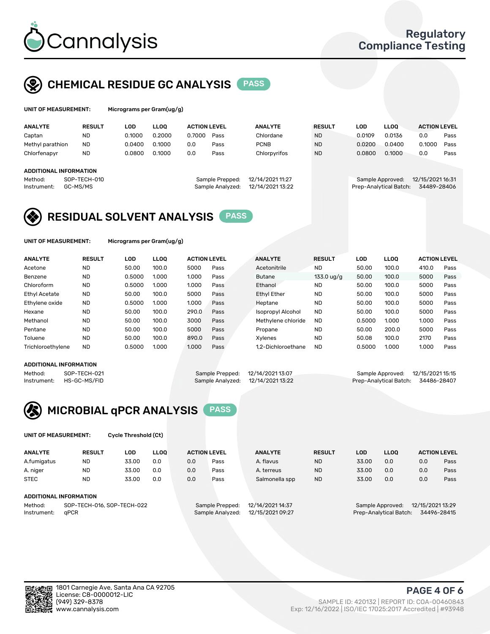

## CHEMICAL RESIDUE GC ANALYSIS PASS

| UNIT OF MEASUREMENT: | Microgra |
|----------------------|----------|
|                      |          |

ams per Gram(ug/g)

| <b>ANALYTE</b>         | <b>RESULT</b> | <b>LOD</b> | <b>LLOO</b> | <b>ACTION LEVEL</b> |                  | <b>ANALYTE</b>   | <b>RESULT</b> | <b>LOD</b>       | <b>LLOO</b>            | <b>ACTION LEVEL</b> |      |
|------------------------|---------------|------------|-------------|---------------------|------------------|------------------|---------------|------------------|------------------------|---------------------|------|
| Captan                 | <b>ND</b>     | 0.1000     | 0.2000      | 0.7000              | Pass             | Chlordane        | <b>ND</b>     | 0.0109           | 0.0136                 | 0.0                 | Pass |
| Methyl parathion       | <b>ND</b>     | 0.0400     | 0.1000      | 0.0                 | Pass             | <b>PCNB</b>      | <b>ND</b>     | 0.0200           | 0.0400                 | 0.1000              | Pass |
| Chlorfenapyr           | <b>ND</b>     | 0.0800     | 0.1000      | 0.0                 | Pass             | Chlorpyrifos     | <b>ND</b>     | 0.0800           | 0.1000                 | 0.0                 | Pass |
|                        |               |            |             |                     |                  |                  |               |                  |                        |                     |      |
| ADDITIONAL INFORMATION |               |            |             |                     |                  |                  |               |                  |                        |                     |      |
| Method:                | SOP-TECH-010  |            |             |                     | Sample Prepped:  | 12/14/2021 11:27 |               | Sample Approved: |                        | 12/15/2021 16:31    |      |
| Instrument:            | GC-MS/MS      |            |             |                     | Sample Analyzed: | 12/14/2021 13:22 |               |                  | Prep-Analytical Batch: | 34489-28406         |      |
|                        |               |            |             |                     |                  |                  |               |                  |                        |                     |      |

### RESIDUAL SOLVENT ANALYSIS PASS

UNIT OF MEASUREMENT: Micrograms per Gram(ug/g)

| <b>ANALYTE</b>       | <b>RESULT</b> | <b>LOD</b> | <b>LLOO</b> | <b>ACTION LEVEL</b> |      | <b>ANALYTE</b>           | <b>RESULT</b>        | <b>LOD</b> | <b>LLOO</b> | <b>ACTION LEVEL</b> |      |
|----------------------|---------------|------------|-------------|---------------------|------|--------------------------|----------------------|------------|-------------|---------------------|------|
| Acetone              | <b>ND</b>     | 50.00      | 100.0       | 5000                | Pass | Acetonitrile             | <b>ND</b>            | 50.00      | 100.0       | 410.0               | Pass |
| Benzene              | <b>ND</b>     | 0.5000     | 1.000       | 1.000               | Pass | <b>Butane</b>            | $133.0 \text{ uq/q}$ | 50.00      | 100.0       | 5000                | Pass |
| Chloroform           | <b>ND</b>     | 0.5000     | 1.000       | 1.000               | Pass | Ethanol                  | <b>ND</b>            | 50.00      | 100.0       | 5000                | Pass |
| <b>Ethyl Acetate</b> | <b>ND</b>     | 50.00      | 100.0       | 5000                | Pass | <b>Ethyl Ether</b>       | <b>ND</b>            | 50.00      | 100.0       | 5000                | Pass |
| Ethylene oxide       | <b>ND</b>     | 0.5000     | 1.000       | 1.000               | Pass | Heptane                  | <b>ND</b>            | 50.00      | 100.0       | 5000                | Pass |
| Hexane               | <b>ND</b>     | 50.00      | 100.0       | 290.0               | Pass | <b>Isopropyl Alcohol</b> | <b>ND</b>            | 50.00      | 100.0       | 5000                | Pass |
| Methanol             | <b>ND</b>     | 50.00      | 100.0       | 3000                | Pass | Methylene chloride       | <b>ND</b>            | 0.5000     | 1.000       | 1.000               | Pass |
| Pentane              | <b>ND</b>     | 50.00      | 100.0       | 5000                | Pass | Propane                  | <b>ND</b>            | 50.00      | 200.0       | 5000                | Pass |
| Toluene              | <b>ND</b>     | 50.00      | 100.0       | 890.0               | Pass | Xylenes                  | <b>ND</b>            | 50.08      | 100.0       | 2170                | Pass |
| Trichloroethylene    | <b>ND</b>     | 0.5000     | 1.000       | 1.000               | Pass | 1.2-Dichloroethane       | <b>ND</b>            | 0.5000     | 1.000       | 1.000               | Pass |

#### ADDITIONAL INFORMATION

|             | ADDITIONAL INFORMATION |                                   |                                    |  |
|-------------|------------------------|-----------------------------------|------------------------------------|--|
| Method:     | SOP-TECH-021           | Sample Prepped: 12/14/2021 13:07  | Sample Approved: 12/15/2021 15:15  |  |
| Instrument: | HS-GC-MS/FID           | Sample Analyzed: 12/14/2021 13:22 | Prep-Analytical Batch: 34486-28407 |  |



UNIT OF MEASUREMENT: Cycle Threshold (Ct)

| <b>ANALYTE</b>         | <b>RESULT</b>              | LOD   | <b>LLOO</b> | <b>ACTION LEVEL</b> |                  | <b>ANALYTE</b>   | <b>RESULT</b>                         | LOD                                  | <b>LLOO</b> |     | <b>ACTION LEVEL</b> |
|------------------------|----------------------------|-------|-------------|---------------------|------------------|------------------|---------------------------------------|--------------------------------------|-------------|-----|---------------------|
| A.fumigatus            | ND                         | 33.00 | 0.0         | 0.0                 | Pass             | A. flavus        | <b>ND</b>                             | 33.00                                | 0.0         | 0.0 | Pass                |
| A. niger               | <b>ND</b>                  | 33.00 | 0.0         | 0.0                 | Pass             | A. terreus       | <b>ND</b>                             | 33.00                                | 0.0         | 0.0 | Pass                |
| <b>STEC</b>            | <b>ND</b>                  | 33.00 | 0.0         | 0.0                 | Pass             | Salmonella spp   | <b>ND</b>                             | 33.00                                | 0.0         | 0.0 | Pass                |
| ADDITIONAL INFORMATION |                            |       |             |                     |                  |                  |                                       |                                      |             |     |                     |
| Method:                | SOP-TECH-016, SOP-TECH-022 |       |             |                     | Sample Prepped:  | 12/14/2021 14:37 |                                       | 12/15/2021 13:29<br>Sample Approved: |             |     |                     |
| aPCR<br>Instrument:    |                            |       |             | Sample Analyzed:    | 12/15/2021 09:27 |                  | Prep-Analytical Batch:<br>34496-28415 |                                      |             |     |                     |

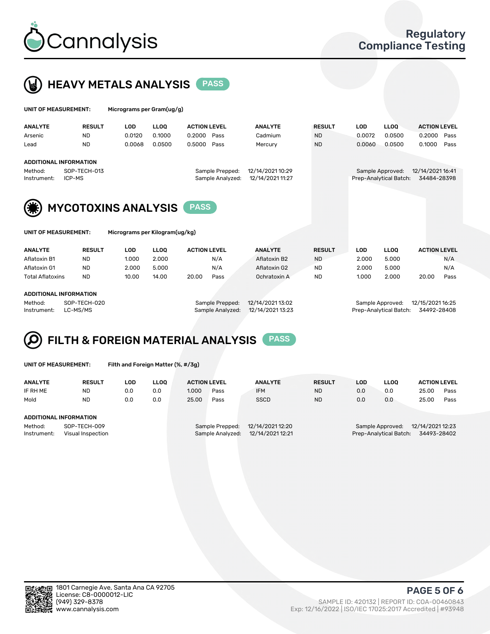



|                                                                                                                        | UNIT OF MEASUREMENT: |               | Micrograms per Gram(ug/g) |             |                     |                                     |                                      |               |            |                                            |                                 |      |
|------------------------------------------------------------------------------------------------------------------------|----------------------|---------------|---------------------------|-------------|---------------------|-------------------------------------|--------------------------------------|---------------|------------|--------------------------------------------|---------------------------------|------|
|                                                                                                                        | <b>ANALYTE</b>       | <b>RESULT</b> | LOD                       | <b>LLOO</b> | <b>ACTION LEVEL</b> |                                     | <b>ANALYTE</b>                       | <b>RESULT</b> | <b>LOD</b> | LLOO <sup>1</sup>                          | <b>ACTION LEVEL</b>             |      |
|                                                                                                                        | Arsenic              | <b>ND</b>     | 0.0120                    | 0.1000      | 0.2000              | Pass                                | Cadmium                              | <b>ND</b>     | 0.0072     | 0.0500                                     | 0.2000                          | Pass |
|                                                                                                                        | Lead                 | <b>ND</b>     | 0.0068                    | 0.0500      | 0.5000              | Pass                                | Mercury                              | <b>ND</b>     | 0.0060     | 0.0500                                     | 0.1000                          | Pass |
| <b>ADDITIONAL INFORMATION</b><br>SOP-TECH-013<br>Method:<br>ICP-MS<br>Instrument:<br>(纂)<br><b>MYCOTOXINS ANALYSIS</b> |                      |               |                           |             | <b>PASS</b>         | Sample Prepped:<br>Sample Analyzed: | 12/14/2021 10:29<br>12/14/2021 11:27 |               |            | Sample Approved:<br>Prep-Analytical Batch: | 12/14/2021 16:41<br>34484-28398 |      |

UNIT OF MEASUREMENT: Micrograms per Kilogram(ug/kg)

| <b>ANALYTE</b>          | <b>RESULT</b> | LOD   | <b>LLOO</b> | <b>ACTION LEVEL</b> | <b>ANALYTE</b> | <b>RESULT</b> | LOD   | <b>LLOO</b> | <b>ACTION LEVEL</b> |
|-------------------------|---------------|-------|-------------|---------------------|----------------|---------------|-------|-------------|---------------------|
| Aflatoxin B1            | <b>ND</b>     | 1.000 | 2.000       | N/A                 | Aflatoxin B2   | <b>ND</b>     | 2.000 | 5.000       | N/A                 |
| Aflatoxin G1            | <b>ND</b>     | 2.000 | 5.000       | N/A                 | Aflatoxin G2   | <b>ND</b>     | 2.000 | 5.000       | N/A                 |
| <b>Total Aflatoxins</b> | <b>ND</b>     | 10.00 | 14.00       | 20.00<br>Pass       | Ochratoxin A   | <b>ND</b>     | 1.000 | 2.000       | 20.00<br>Pass       |
|                         |               |       |             |                     |                |               |       |             |                     |
| ADDITIONAL INFORMATION  |               |       |             |                     |                |               |       |             |                     |

#### ADDITIONAL INFORMATION

Method: SOP-TECH-020 Sample Prepped: 12/14/2021 13:02 Sample Approved: 12/15/2021 16:25 Instrument: LC-MS/MS Sample Analyzed: 12/14/2021 13:23 Prep-Analytical Batch: 34492-28408

## FILTH & FOREIGN MATERIAL ANALYSIS PASS

UNIT OF MEASUREMENT: Filth and Foreign Matter (%, #/3g)

| <b>ANALYTE</b>                                              | <b>RESULT</b> | LOD | <b>LLOO</b> | <b>ACTION LEVEL</b> |                                     | <b>ANALYTE</b>                       | <b>RESULT</b> | LOD | LLOO                                       | <b>ACTION LEVEL</b>             |      |
|-------------------------------------------------------------|---------------|-----|-------------|---------------------|-------------------------------------|--------------------------------------|---------------|-----|--------------------------------------------|---------------------------------|------|
| IF RH ME                                                    | <b>ND</b>     | 0.0 | 0.0         | 1.000               | Pass                                | <b>IFM</b>                           | <b>ND</b>     | 0.0 | 0.0                                        | 25.00                           | Pass |
| Mold                                                        | <b>ND</b>     | 0.0 | 0.0         | 25.00               | Pass                                | <b>SSCD</b>                          | <b>ND</b>     | 0.0 | 0.0                                        | 25.00                           | Pass |
| <b>ADDITIONAL INFORMATION</b>                               |               |     |             |                     |                                     |                                      |               |     |                                            |                                 |      |
| Method:<br>SOP-TECH-009<br>Instrument:<br>Visual Inspection |               |     |             |                     | Sample Prepped:<br>Sample Analyzed: | 12/14/2021 12:20<br>12/14/2021 12:21 |               |     | Sample Approved:<br>Prep-Analytical Batch: | 12/14/2021 12:23<br>34493-28402 |      |



PAGE 5 OF 6